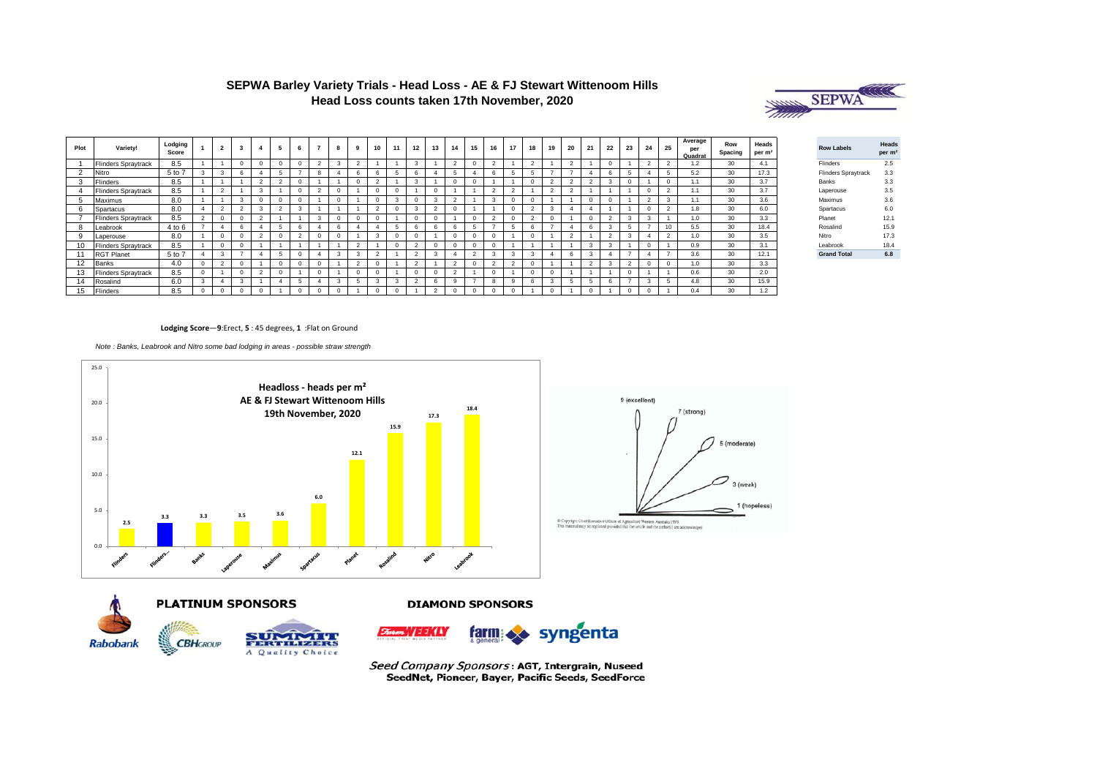

| Plot   | Variety!                   | Lodging<br>Score | $\overline{2}$ |  | 6          |   | -8         |            | 10              |              | 12            | 13              | 14            | 15 | 16        | 17            | 18             | 19     | 20             | 21     | 22             | 23        | 24     | 25     | Average<br>per<br>Quadrat | Row<br>Spacing | Heads<br>per m <sup>2</sup> | <b>Row Labels</b>   | Head<br>per n |
|--------|----------------------------|------------------|----------------|--|------------|---|------------|------------|-----------------|--------------|---------------|-----------------|---------------|----|-----------|---------------|----------------|--------|----------------|--------|----------------|-----------|--------|--------|---------------------------|----------------|-----------------------------|---------------------|---------------|
|        | <b>Flinders Spraytrack</b> | 8.5              |                |  |            |   |            |            |                 |              | 3             |                 | $\sim$        |    | $\sim$    |               | $\mathcal{L}$  |        | $\sim$         |        |                |           |        |        |                           | 30             | 4.1                         | Flinders            | 2.5           |
| $\sim$ | Nitro                      | 5 to 7           | 3              |  |            |   |            | n          | 6               |              | 6             |                 |               |    | 6         |               | 5              |        |                |        | 6              |           |        |        | 5.2                       | 30             | 17.3                        | Flinders Spraytrack | 3.3           |
|        | Flinders                   | 8.5              |                |  | $\Omega$   |   |            | $^{\circ}$ | $\sim$          |              | 3             |                 | -0            |    |           |               | -0             | $\sim$ | $\overline{2}$ | ٠      | 3              |           |        |        |                           | 30             | 3.7                         | Banks               | 3.3           |
|        | <b>Flinders Spraytrack</b> | 8.5              | $\overline{2}$ |  | $\Omega$   |   | $\Omega$   |            | $^{\circ}$      | -0           |               |                 |               |    | $\sim$    | $\sqrt{2}$    |                | $\sim$ | $\sim$         |        |                |           |        |        |                           | 30             | 3.7                         | Laperouse           | 3.5           |
|        | Maximus                    | 8.0              |                |  |            |   | $\Omega$   |            | $\Omega$        |              |               | $\overline{ }$  | $\sim$        |    | 3         |               |                |        |                |        |                |           | $\sim$ |        |                           | 30             | 3.6                         | Maximus             | 3.6           |
|        | Spartacus                  | 8.0              | $\overline{2}$ |  |            |   |            |            | $\sim$          | $\Omega$     | $\mathbf{3}$  | <b>CONTRACT</b> |               |    |           |               | $\overline{2}$ | $\sim$ |                |        |                |           |        | $\sim$ | 1.8                       | 30             | 6.0                         | Spartacus           | 6.0           |
|        | <b>Flinders Spraytrack</b> | 8.5              |                |  |            |   | $\Omega$   |            |                 |              |               |                 |               |    | $\sim$    |               | $\sim$         |        |                |        | $\sim$         |           |        |        | 1.0                       | 30             | 3.3                         | Planet              | 12.1          |
|        | Leabrook                   | 4 to 6           |                |  |            |   | n          |            |                 |              | 6             | n               | 6             |    |           |               | 6              |        |                |        | 3              |           |        | 10     | 5.5                       | 30             | 18.4                        | Rosalind            | 15.9          |
|        | Laperouse                  | 8.0              |                |  |            |   | $\Omega$   |            |                 |              |               |                 |               |    |           |               |                |        | ×              |        | $\sim$         |           |        |        | 1.0                       | 30             | 3.5                         | Nitro               | 17.3          |
|        | <b>Flinders Spraytrack</b> | 8.5              |                |  |            |   |            |            |                 |              | -C            |                 |               |    |           |               |                |        |                |        | 3              |           |        |        | 0.9                       | 30             |                             | Leabrook            | 18.4          |
|        | <b>RGT Planet</b>          | 5 to 7           | 3              |  |            |   | 3          |            | <b>CONTRACT</b> |              | $\mathcal{P}$ | -3              | -4            |    | 3         |               | 3              |        | 6              |        | $\overline{4}$ |           |        |        | 3.6                       | 30             | 12.1                        | <b>Grand Total</b>  | 6.8           |
| 12     | Banks                      | 4.0              | $\overline{2}$ |  | $\Omega$   |   |            |            | $^{\circ}$      |              | $\sim$        |                 | $\mathcal{L}$ |    | $\hat{ }$ | $\mathcal{L}$ |                |        |                | $\sim$ | 3              | $\hat{ }$ |        |        | 1.0                       | 30             | 3.3                         |                     |               |
|        | <b>Flinders Spraytrack</b> | 8.5              |                |  |            |   |            | $\Omega$   | $^{\circ}$      |              | $^{\circ}$    |                 | ×,            |    |           |               | -0             |        |                |        |                |           |        |        | 0.6                       | 30             | 2.0                         |                     |               |
|        | Rosalind                   | 6.0              |                |  |            |   |            |            | 3               |              | n             |                 | q             |    | 8         | q             | 6              | з      |                |        | 6              |           |        |        | 4.8                       | 30             | 15.9                        |                     |               |
|        | Flinders                   | 8.5              |                |  | $^{\circ}$ | 0 | $^{\circ}$ |            | $^{\circ}$      | $\mathbf{0}$ |               |                 |               |    |           |               |                |        |                |        |                |           |        |        | 0.4                       | 30             | 1.2                         |                     |               |



#### **Lodging Score**—**9**:Erect, **5** : 45 degrees, **1** :Flat on Ground

*Note : Banks, Leabrook and Nitro some bad lodging in areas - possible straw strength* 







**DIAMOND SPONSORS** 



Seed Company Sponsors: AGT, Intergrain, Nuseed SeedNet, Pioneer, Bayer, Pacific Seeds, SeedForce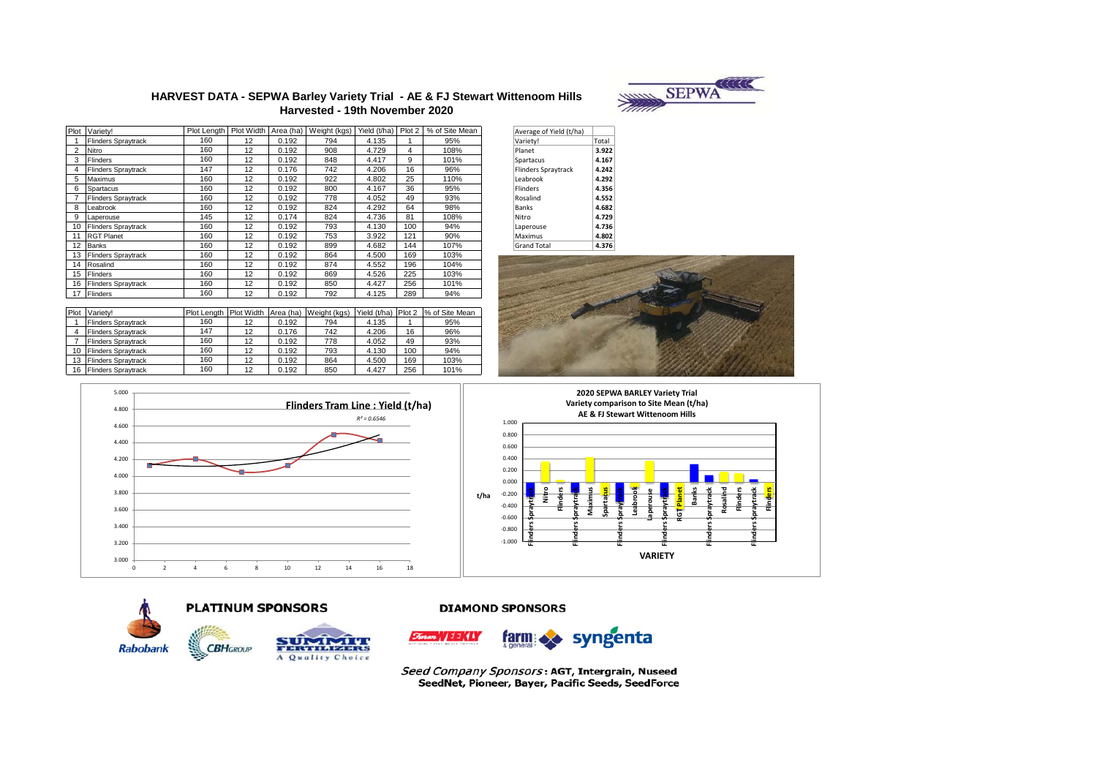

### HARVEST DATA - SEPWA Barley Variety Trial - AE & FJ Stewart Wittenoom Hills Harvested - 19th November 2020

| Plot | Variety!                   | Plot Length | Plot Width | Area (ha) | Weight (kgs) | Yield (t/ha) | Plot 2         | % of Site Mean |
|------|----------------------------|-------------|------------|-----------|--------------|--------------|----------------|----------------|
|      | <b>Flinders Spraytrack</b> | 160         | 12         | 0.192     | 794          | 4.135        |                | 95%            |
| 2    | Nitro                      | 160         | 12         | 0.192     | 908          | 4.729        | $\overline{4}$ | 108%           |
| 3    | <b>Flinders</b>            | 160         | 12         | 0.192     | 848          | 4.417        | 9              | 101%           |
| 4    | <b>Flinders Spraytrack</b> | 147         | 12         | 0.176     | 742          | 4.206        | 16             | 96%            |
| 5    | Maximus                    | 160         | 12         | 0.192     | 922          | 4.802        | 25             | 110%           |
| 6    | Spartacus                  | 160         | 12         | 0.192     | 800          | 4.167        | 36             | 95%            |
| 7    | <b>Flinders Spraytrack</b> | 160         | 12         | 0.192     | 778          | 4.052        | 49             | 93%            |
| 8    | Leabrook                   | 160         | 12         | 0.192     | 824          | 4.292        | 64             | 98%            |
| 9    | Laperouse                  | 145         | 12         | 0.174     | 824          | 4.736        | 81             | 108%           |
| 10   | <b>Flinders Spraytrack</b> | 160         | 12         | 0.192     | 793          | 4.130        | 100            | 94%            |
| 11   | <b>RGT Planet</b>          | 160         | 12         | 0.192     | 753          | 3.922        | 121            | 90%            |
| 12   | <b>Banks</b>               | 160         | 12         | 0.192     | 899          | 4.682        | 144            | 107%           |
| 13   | <b>Flinders Spraytrack</b> | 160         | 12         | 0.192     | 864          | 4.500        | 169            | 103%           |
| 14   | Rosalind                   | 160         | 12         | 0.192     | 874          | 4.552        | 196            | 104%           |
| 15   | <b>Flinders</b>            | 160         | 12         | 0.192     | 869          | 4.526        | 225            | 103%           |
| 16   | <b>Flinders Spraytrack</b> | 160         | 12         | 0.192     | 850          | 4.427        | 256            | 101%           |
| 17   | Flinders                   | 160         | 12         | 0.192     | 792          | 4.125        | 289            | 94%            |

| Average of Yield (t/ha)    |       |
|----------------------------|-------|
| Variety!                   | Total |
| Planet                     | 3.922 |
| Spartacus                  | 4.167 |
| <b>Flinders Spraytrack</b> | 4.242 |
| Leabrook                   | 4.292 |
| <b>Flinders</b>            | 4.356 |
| Rosalind                   | 4.552 |
| <b>Banks</b>               | 4.682 |
| Nitro                      | 4.729 |
| Laperouse                  | 4.736 |
| Maximus                    | 4.802 |
| <b>Grand Total</b>         | 4.376 |



**VARIETY** 







# **PLATINUM SPONSORS**

**CBHGROUP ERVISIZES** A Quality Choice

# **DIAMOND SPONSORS**



Seed Company Sponsors: AGT, Intergrain, Nuseed SeedNet, Pioneer, Bayer, Pacific Seeds, SeedForce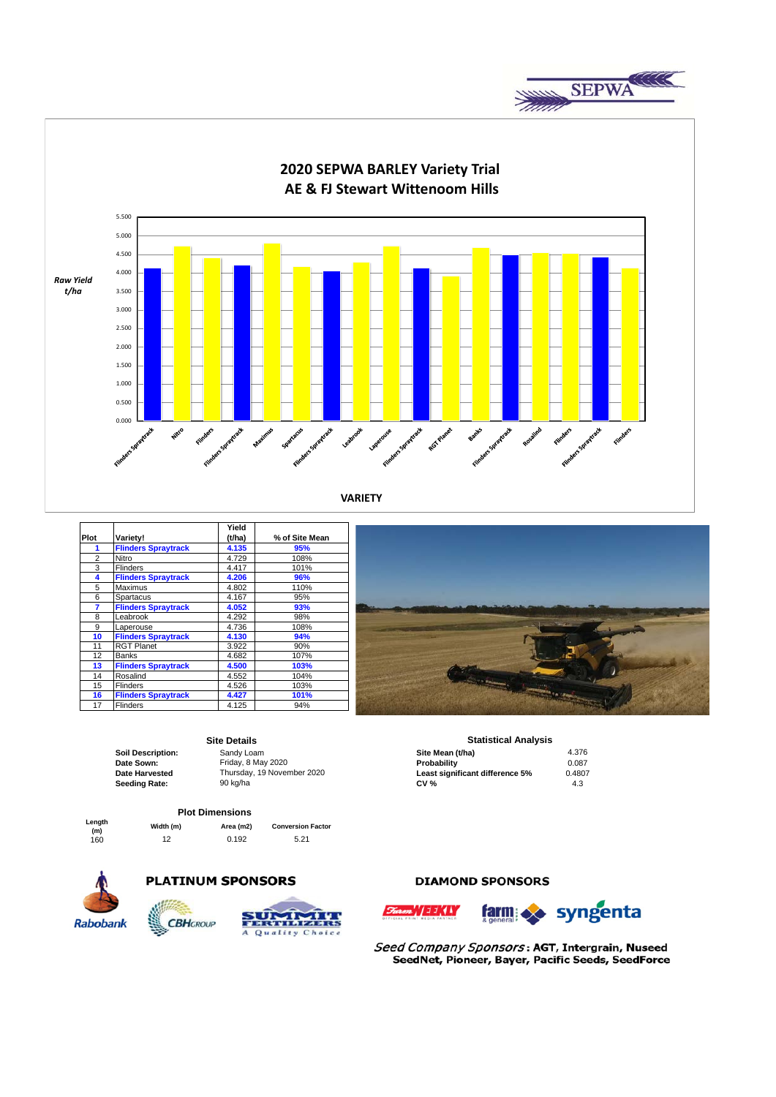



|                |                            | Yield  |                |
|----------------|----------------------------|--------|----------------|
| Plot           | Variety!                   | (t/ha) | % of Site Mean |
|                | <b>Flinders Spraytrack</b> | 4.135  | 95%            |
| $\overline{2}$ | Nitro                      | 4.729  | 108%           |
| 3              | <b>Flinders</b>            | 4.417  | 101%           |
| 4              | <b>Flinders Spraytrack</b> | 4.206  | 96%            |
| 5              | Maximus                    | 4.802  | 110%           |
| 6              | Spartacus                  | 4.167  | 95%            |
| 7              | <b>Flinders Spraytrack</b> | 4.052  | 93%            |
| 8              | Leabrook                   | 4.292  | 98%            |
| 9              | Laperouse                  | 4.736  | 108%           |
| 10             | <b>Flinders Spraytrack</b> | 4.130  | 94%            |
| 11             | <b>RGT Planet</b>          | 3.922  | 90%            |
| 12             | Banks                      | 4.682  | 107%           |
| 13             | <b>Flinders Spraytrack</b> | 4.500  | 103%           |
| 14             | Rosalind                   | 4.552  | 104%           |
| 15             | <b>Flinders</b>            | 4.526  | 103%           |
| 16             | <b>Flinders Spraytrack</b> | 4.427  | 101%           |
| 17             | <b>Flinders</b>            | 4.125  | 94%            |
|                |                            |        |                |

### **Site Details**

#### **Plot Dimensions**

| Length |  |
|--------|--|
| (m)    |  |
| 160    |  |
|        |  |

**(m) Width (m) Area (m2) Conversion Factor** 160 12 0.192 5.21

**CBH**GROUP



# **PLATINUM SPONSORS**



# **DIAMOND SPONSORS**





Seed Company Sponsors: AGT, Intergrain, Nuseed SeedNet, Pioneer, Bayer, Pacific Seeds, SeedForce

# **Statistical Analysis**

| <u>,,,,,,,,,,,,,,,,,,,,,,</u>   |        |
|---------------------------------|--------|
| Site Mean (t/ha)                | 4.376  |
| Probability                     | 0.087  |
| Least significant difference 5% | 0.4807 |
| <b>CV %</b>                     | 4.3    |
|                                 |        |